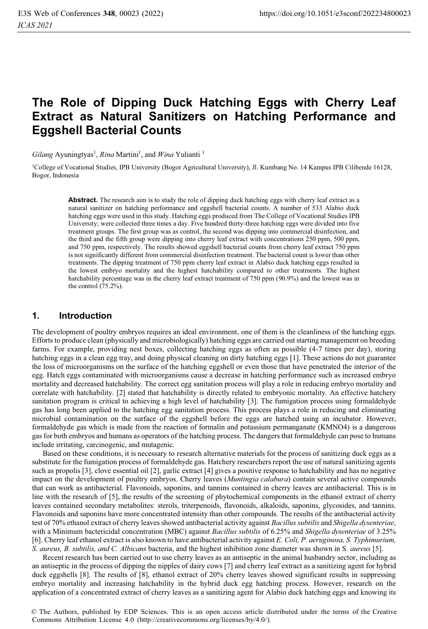# **The Role of Dipping Duck Hatching Eggs with Cherry Leaf Extract as Natural Sanitizers on Hatching Performance and Eggshell Bacterial Counts**

Gilang Ayuningtyas<sup>1</sup>, Rina Martini<sup>1</sup>, and Wina Yulianti<sup>1</sup>

1College of Vocational Studies, IPB University (Bogor Agricultural University), Jl. Kumbang No. 14 Kampus IPB Cilibende 16128, Bogor, Indonesia

**Abstract.** The research aim is to study the role of dipping duck hatching eggs with cherry leaf extract as a natural sanitizer on hatching performance and eggshell bacterial counts. A number of 533 Alabio duck hatching eggs were used in this study. Hatching eggs produced from The College of Vocational Studies IPB University; were collected three times a day. Five hundred thirty-three hatching eggs were divided into five treatment groups. The first group was as control, the second was dipping into commercial disinfection, and the third and the fifth group were dipping into cherry leaf extract with concentrations 250 ppm, 500 ppm, and 750 ppm, respectively. The results showed eggshell bacterial counts from cherry leaf extract 750 ppm is not significantly different from commercial disinfection treatment. The bacterial count is lower than other treatments. The dipping treatment of 750 ppm cherry leaf extract in Alabio duck hatching eggs resulted in the lowest embryo mortality and the highest hatchability compared to other treatments. The highest hatchability percentage was in the cherry leaf extract treatment of 750 ppm (90.9%) and the lowest was in the control (75.2%).

## **1. Introduction**

The development of poultry embryos requires an ideal environment, one of them is the cleanliness of the hatching eggs. Efforts to produce clean (physically and microbiologically) hatching eggs are carried out starting management on breeding farms. For example, providing nest boxes, collecting hatching eggs as often as possible (4-7 times per day), storing hatching eggs in a clean egg tray, and doing physical cleaning on dirty hatching eggs [1]. These actions do not guarantee the loss of microorganisms on the surface of the hatching eggshell or even those that have penetrated the interior of the egg. Hatch eggs contaminated with microorganisms cause a decrease in hatching performance such as increased embryo mortality and decreased hatchability. The correct egg sanitation process will play a role in reducing embryo mortality and correlate with hatchability. [2] stated that hatchability is directly related to embryonic mortality. An effective hatchery sanitation program is critical to achieving a high level of hatchability [3]. The fumigation process using formaldehyde gas has long been applied to the hatching egg sanitation process. This process plays a role in reducing and eliminating microbial contamination on the surface of the eggshell before the eggs are hatched using an incubator. However, formaldehyde gas which is made from the reaction of formalin and potassium permanganate (KMNO4) is a dangerous gas for both embryos and humans as operators of the hatching process. The dangers that formaldehyde can pose to humans include irritating, carcinogenic, and mutagenic.

Based on these conditions, it is necessary to research alternative materials for the process of sanitizing duck eggs as a substitute for the fumigation process of formaldehyde gas. Hatchery researchers report the use of natural sanitizing agents such as propolis [3], clove essential oil [2], garlic extract [4] gives a positive response to hatchability and has no negative impact on the development of poultry embryos. Cherry leaves (*Muntingia calabura*) contain several active compounds that can work as antibacterial. Flavonoids, saponins, and tannins contained in cherry leaves are antibacterial. This is in line with the research of [5], the results of the screening of phytochemical components in the ethanol extract of cherry leaves contained secondary metabolites: sterols, triterpenoids, flavonoids, alkaloids, saponins, glycosides, and tannins. Flavonoids and saponins have more concentrated intensity than other compounds. The results of the antibacterial activity test of 70% ethanol extract of cherry leaves showed antibacterial activity against *Bacillus subtilis* and *Shigella dysenteriae*, with a Minimum bactericidal concentration (MBC) against *Bacillus subtilis* of 6.25% and *Shigella dysenteriae* of 3.25% [6]. Cherry leaf ethanol extract is also known to have antibacterial activity against *E. Coli, P. aeruginosa, S. Typhimurium, S. aureus, B. subtilis, and C. Albicans* bacteria, and the highest inhibition zone diameter was shown in S*. aureus* [5].

Recent research has been carried out to use cherry leaves as an antiseptic in the animal husbandry sector, including as an antiseptic in the process of dipping the nipples of dairy cows [7] and cherry leaf extract as a sanitizing agent for hybrid duck eggshells [8]. The results of [8], ethanol extract of 20% cherry leaves showed significant results in suppressing embryo mortality and increasing hatchability in the hybrid duck egg hatching process. However, research on the application of a concentrated extract of cherry leaves as a sanitizing agent for Alabio duck hatching eggs and knowing its

© The Authors, published by EDP Sciences. This is an open access article distributed under the terms of the Creative Commons Attribution License 4.0 (http://creativecommons.org/licenses/by/4.0/).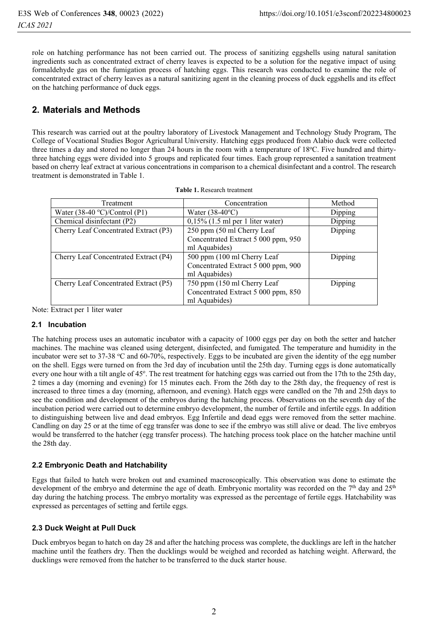role on hatching performance has not been carried out. The process of sanitizing eggshells using natural sanitation ingredients such as concentrated extract of cherry leaves is expected to be a solution for the negative impact of using formaldehyde gas on the fumigation process of hatching eggs. This research was conducted to examine the role of concentrated extract of cherry leaves as a natural sanitizing agent in the cleaning process of duck eggshells and its effect on the hatching performance of duck eggs.

# **2. Materials and Methods**

This research was carried out at the poultry laboratory of Livestock Management and Technology Study Program, The College of Vocational Studies Bogor Agricultural University. Hatching eggs produced from Alabio duck were collected three times a day and stored no longer than 24 hours in the room with a temperature of 18°C. Five hundred and thirtythree hatching eggs were divided into 5 groups and replicated four times. Each group represented a sanitation treatment based on cherry leaf extract at various concentrations in comparison to a chemical disinfectant and a control. The research treatment is demonstrated in Table 1.

| Treatment                               | Concentration                       | Method  |  |
|-----------------------------------------|-------------------------------------|---------|--|
| Water $(38-40 \degree C)/$ Control (P1) | Water $(38-40$ <sup>o</sup> C)      | Dipping |  |
| Chemical disinfectant (P2)              | $0,15\%$ (1.5 ml per 1 liter water) | Dipping |  |
| Cherry Leaf Concentrated Extract (P3)   | 250 ppm (50 ml Cherry Leaf)         | Dipping |  |
|                                         | Concentrated Extract 5 000 ppm, 950 |         |  |
|                                         | ml Aquabides)                       |         |  |
| Cherry Leaf Concentrated Extract (P4)   | 500 ppm (100 ml Cherry Leaf)        | Dipping |  |
|                                         | Concentrated Extract 5 000 ppm, 900 |         |  |
|                                         | ml Aquabides)                       |         |  |
| Cherry Leaf Concentrated Extract (P5)   | 750 ppm (150 ml Cherry Leaf)        | Dipping |  |
|                                         | Concentrated Extract 5 000 ppm, 850 |         |  |
|                                         | ml Aquabides)                       |         |  |

|  |  |  | <b>Table 1.</b> Research treatment |
|--|--|--|------------------------------------|
|--|--|--|------------------------------------|

Note: Extract per 1 liter water

#### **2.1 Incubation**

The hatching process uses an automatic incubator with a capacity of 1000 eggs per day on both the setter and hatcher machines. The machine was cleaned using detergent, disinfected, and fumigated. The temperature and humidity in the incubator were set to 37-38 °C and 60-70%, respectively. Eggs to be incubated are given the identity of the egg number on the shell. Eggs were turned on from the 3rd day of incubation until the 25th day. Turning eggs is done automatically every one hour with a tilt angle of 45°. The rest treatment for hatching eggs was carried out from the 17th to the 25th day, 2 times a day (morning and evening) for 15 minutes each. From the 26th day to the 28th day, the frequency of rest is increased to three times a day (morning, afternoon, and evening). Hatch eggs were candled on the 7th and 25th days to see the condition and development of the embryos during the hatching process. Observations on the seventh day of the incubation period were carried out to determine embryo development, the number of fertile and infertile eggs. In addition to distinguishing between live and dead embryos. Egg Infertile and dead eggs were removed from the setter machine. Candling on day 25 or at the time of egg transfer was done to see if the embryo was still alive or dead. The live embryos would be transferred to the hatcher (egg transfer process). The hatching process took place on the hatcher machine until the 28th day.

#### **2.2 Embryonic Death and Hatchability**

Eggs that failed to hatch were broken out and examined macroscopically. This observation was done to estimate the development of the embryo and determine the age of death. Embryonic mortality was recorded on the  $7<sup>th</sup>$  day and  $25<sup>th</sup>$ day during the hatching process. The embryo mortality was expressed as the percentage of fertile eggs. Hatchability was expressed as percentages of setting and fertile eggs.

#### **2.3 Duck Weight at Pull Duck**

Duck embryos began to hatch on day 28 and after the hatching process was complete, the ducklings are left in the hatcher machine until the feathers dry. Then the ducklings would be weighed and recorded as hatching weight. Afterward, the ducklings were removed from the hatcher to be transferred to the duck starter house.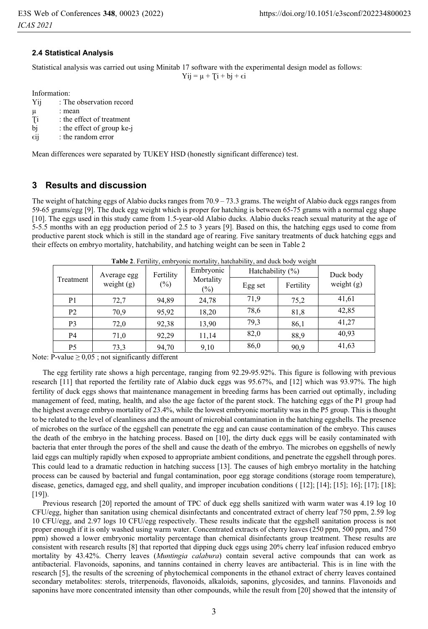#### **2.4 Statistical Analysis**

Statistical analysis was carried out using Minitab 17 software with the experimental design model as follows:

 $Yij = \mu + Ti + bj + \epsilon i$ 

Information:

| Yij | : The observation record   |
|-----|----------------------------|
| μ   | : mean                     |
| Ti  | : the effect of treatment  |
| bi  | : the effect of group ke-j |

 $\epsilon$ ij : the random error

Mean differences were separated by TUKEY HSD (honestly significant difference) test.

# **3 Results and discussion**

The weight of hatching eggs of Alabio ducks ranges from  $70.9 - 73.3$  grams. The weight of Alabio duck eggs ranges from 59-65 grams/egg [9]. The duck egg weight which is proper for hatching is between 65-75 grams with a normal egg shape [10]. The eggs used in this study came from 1.5-year-old Alabio ducks. Alabio ducks reach sexual maturity at the age of 5-5.5 months with an egg production period of 2.5 to 3 years [9]. Based on this, the hatching eggs used to come from productive parent stock which is still in the standard age of rearing. Five sanitary treatments of duck hatching eggs and their effects on embryo mortality, hatchability, and hatching weight can be seen in Table 2

| Treatment      |      | .<br>Fertility<br>Average egg<br>weight $(g)$<br>$(\%)$ | Embryonic<br>Mortality<br>$(\%)$ | $\circ$<br>Hatchability $(\% )$ |           | Duck body    |
|----------------|------|---------------------------------------------------------|----------------------------------|---------------------------------|-----------|--------------|
|                |      |                                                         |                                  | Egg set                         | Fertility | weight $(g)$ |
| P <sub>1</sub> | 72,7 | 94,89                                                   | 24,78                            | 71,9                            | 75,2      | 41,61        |
| P <sub>2</sub> | 70,9 | 95,92                                                   | 18,20                            | 78,6                            | 81,8      | 42,85        |
| P <sub>3</sub> | 72,0 | 92,38                                                   | 13,90                            | 79,3                            | 86,1      | 41,27        |
| P4             | 71,0 | 92,29                                                   | 11,14                            | 82,0                            | 88.9      | 40.93        |
| P <sub>5</sub> | 73,3 | 94,70                                                   | 9,10                             | 86,0                            | 90,9      | 41,63        |

**Table 2**. Fertility, embryonic mortality, hatchability, and duck body weight

Note: P-value  $\geq 0.05$ ; not significantly different

The egg fertility rate shows a high percentage, ranging from 92.29-95.92%. This figure is following with previous research [11] that reported the fertility rate of Alabio duck eggs was 95.67%, and [12] which was 93.97%. The high fertility of duck eggs shows that maintenance management in breeding farms has been carried out optimally, including management of feed, mating, health, and also the age factor of the parent stock. The hatching eggs of the P1 group had the highest average embryo mortality of 23.4%, while the lowest embryonic mortality was in the P5 group. This is thought to be related to the level of cleanliness and the amount of microbial contamination in the hatching eggshells. The presence of microbes on the surface of the eggshell can penetrate the egg and can cause contamination of the embryo. This causes the death of the embryo in the hatching process. Based on [10], the dirty duck eggs will be easily contaminated with bacteria that enter through the pores of the shell and cause the death of the embryo. The microbes on eggshells of newly laid eggs can multiply rapidly when exposed to appropriate ambient conditions, and penetrate the eggshell through pores. This could lead to a dramatic reduction in hatching success [13]. The causes of high embryo mortality in the hatching process can be caused by bacterial and fungal contamination, poor egg storage conditions (storage room temperature), disease, genetics, damaged egg, and shell quality, and improper incubation conditions ( [12]; [14]; [15]; 16]; [17]; [18];  $[19]$ ).

Previous research [20] reported the amount of TPC of duck egg shells sanitized with warm water was 4.19 log 10 CFU/egg, higher than sanitation using chemical disinfectants and concentrated extract of cherry leaf 750 ppm, 2.59 log 10 CFU/egg, and 2.97 logs 10 CFU/egg respectively. These results indicate that the eggshell sanitation process is not proper enough if it is only washed using warm water. Concentrated extracts of cherry leaves (250 ppm, 500 ppm, and 750 ppm) showed a lower embryonic mortality percentage than chemical disinfectants group treatment. These results are consistent with research results [8] that reported that dipping duck eggs using 20% cherry leaf infusion reduced embryo mortality by 43.42%. Cherry leaves (*Muntingia calabura*) contain several active compounds that can work as antibacterial. Flavonoids, saponins, and tannins contained in cherry leaves are antibacterial. This is in line with the research [5], the results of the screening of phytochemical components in the ethanol extract of cherry leaves contained secondary metabolites: sterols, triterpenoids, flavonoids, alkaloids, saponins, glycosides, and tannins. Flavonoids and saponins have more concentrated intensity than other compounds, while the result from [20] showed that the intensity of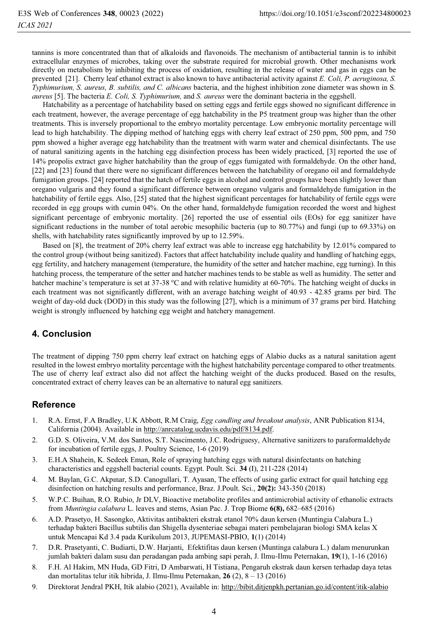tannins is more concentrated than that of alkaloids and flavonoids. The mechanism of antibacterial tannin is to inhibit extracellular enzymes of microbes, taking over the substrate required for microbial growth. Other mechanisms work directly on metabolism by inhibiting the process of oxidation, resulting in the release of water and gas in eggs can be prevented [21]. Cherry leaf ethanol extract is also known to have antibacterial activity against *E. Coli, P. aeruginosa, S. Typhimurium, S. aureus, B. subtilis, and C. albicans* bacteria, and the highest inhibition zone diameter was shown in S*. aureus* [5]. The bacteria *E. Coli, S. Typhimurium,* and *S. aureus* were the dominant bacteria in the eggshell.

Hatchability as a percentage of hatchability based on setting eggs and fertile eggs showed no significant difference in each treatment, however, the average percentage of egg hatchability in the P5 treatment group was higher than the other treatments. This is inversely proportional to the embryo mortality percentage. Low embryonic mortality percentage will lead to high hatchability. The dipping method of hatching eggs with cherry leaf extract of 250 ppm, 500 ppm, and 750 ppm showed a higher average egg hatchability than the treatment with warm water and chemical disinfectants. The use of natural sanitizing agents in the hatching egg disinfection process has been widely practiced, [3] reported the use of 14% propolis extract gave higher hatchability than the group of eggs fumigated with formaldehyde. On the other hand, [22] and [23] found that there were no significant differences between the hatchability of oregano oil and formaldehyde fumigation groups. [24] reported that the hatch of fertile eggs in alcohol and control groups have been slightly lower than oregano vulgaris and they found a significant difference between oregano vulgaris and formaldehyde fumigation in the hatchability of fertile eggs. Also, [25] stated that the highest significant percentages for hatchability of fertile eggs were recorded in egg groups with cumin 04%. On the other hand, formaldehyde fumigation recorded the worst and highest significant percentage of embryonic mortality. [26] reported the use of essential oils (EOs) for egg sanitizer have significant reductions in the number of total aerobic mesophilic bacteria (up to 80.77%) and fungi (up to 69.33%) on shells, with hatchability rates significantly improved by up to 12.59%.

Based on [8], the treatment of 20% cherry leaf extract was able to increase egg hatchability by 12.01% compared to the control group (without being sanitized). Factors that affect hatchability include quality and handling of hatching eggs, egg fertility, and hatchery management (temperature, the humidity of the setter and hatcher machine, egg turning). In this hatching process, the temperature of the setter and hatcher machines tends to be stable as well as humidity. The setter and hatcher machine's temperature is set at 37-38 °C and with relative humidity at 60-70%. The hatching weight of ducks in each treatment was not significantly different, with an average hatching weight of 40.93 - 42.85 grams per bird. The weight of day-old duck (DOD) in this study was the following [27], which is a minimum of 37 grams per bird. Hatching weight is strongly influenced by hatching egg weight and hatchery management.

## **4. Conclusion**

The treatment of dipping 750 ppm cherry leaf extract on hatching eggs of Alabio ducks as a natural sanitation agent resulted in the lowest embryo mortality percentage with the highest hatchability percentage compared to other treatments. The use of cherry leaf extract also did not affect the hatching weight of the ducks produced. Based on the results, concentrated extract of cherry leaves can be an alternative to natural egg sanitizers.

#### **Reference**

- 1. R.A. Ernst, F.A Bradley, U.K Abbott, R.M Craig, *Egg candling and breakout analysis*, ANR Publication 8134, California (2004). Available in http://anrcatalog.ucdavis.edu/pdf/8134.pdf.
- 2. G.D. S. Oliveira, V.M. dos Santos, S.T. Nascimento, J.C. Rodriguesy, Alternative sanitizers to paraformaldehyde for incubation of fertile eggs, J. Poultry Science, 1-6 (2019)
- 3. E.H.A Shahein, K. Sedeek Eman, Role of spraying hatching eggs with natural disinfectants on hatching characteristics and eggshell bacterial counts. Egypt. Poult. Sci. **34** (I), 211-228 (2014)
- 4. M. Baylan, G.C. Akpınar, S.D. Canogullari, T. Ayasan, The effects of using garlic extract for quail hatching egg disinfection on hatching results and performance, Braz. J.Poult. Sci., **20(2):** 343-350 (2018)
- 5. W.P.C. Buihan, R.O. Rubio, Jr DLV, Bioactive metabolite profiles and antimicrobial activity of ethanolic extracts from *Muntingia calabura* L. leaves and stems, Asian Pac. J. Trop Biome **6(8),** 682–685 (2016)
- 6. A.D. Prasetyo, H. Sasongko, Aktivitas antibakteri ekstrak etanol 70% daun kersen (Muntingia Calabura L.) terhadap bakteri Bacillus subtilis dan Shigella dysenteriae sebagai materi pembelajaran biologi SMA kelas X untuk Mencapai Kd 3.4 pada Kurikulum 2013, JUPEMASI-PBIO, **1**(1) (2014)
- 7. D.R. Prasetyanti, C. Budiarti, D.W. Harjanti, Efektifitas daun kersen (Muntinga calabura L.) dalam menurunkan jumlah bakteri dalam susu dan peradangan pada ambing sapi perah, J. Ilmu-Ilmu Peternakan, **19**(1), 1-16 (2016)
- 8. F.H. Al Hakim, MN Huda, GD Fitri, D Ambarwati, H Tistiana, Pengaruh ekstrak daun kersen terhadap daya tetas dan mortalitas telur itik hibrida, J. Ilmu-Ilmu Peternakan, **26** (2), 8 – 13 (2016)
- 9. Direktorat Jendral PKH, Itik alabio (2021), Available in: http://bibit.ditjenpkh.pertanian.go.id/content/itik-alabio